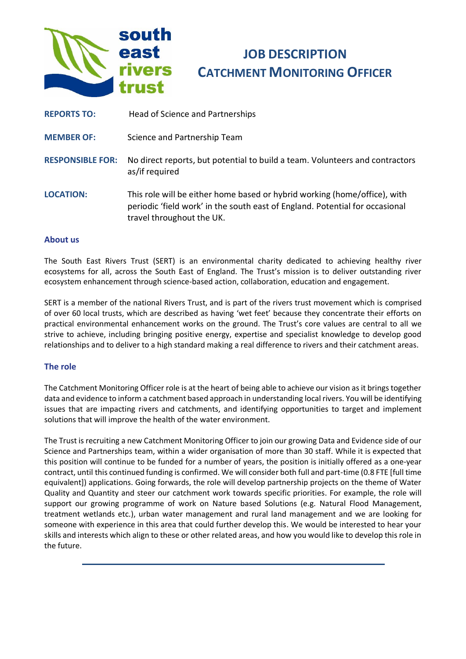

# **JOB DESCRIPTION CATCHMENT MONITORING OFFICER**

- **REPORTS TO:** Head of Science and Partnerships
- **MEMBER OF:** Science and Partnership Team
- **RESPONSIBLE FOR:** No direct reports, but potential to build a team. Volunteers and contractors as/if required
- **LOCATION:** This role will be either home based or hybrid working (home/office), with periodic 'field work' in the south east of England. Potential for occasional travel throughout the UK.

#### **About us**

The South East Rivers Trust (SERT) is an environmental charity dedicated to achieving healthy river ecosystems for all, across the South East of England. The Trust's mission is to deliver outstanding river ecosystem enhancement through science-based action, collaboration, education and engagement.

SERT is a member of the national Rivers Trust, and is part of the rivers trust movement which is comprised of over 60 local trusts, which are described as having 'wet feet' because they concentrate their efforts on practical environmental enhancement works on the ground. The Trust's core values are central to all we strive to achieve, including bringing positive energy, expertise and specialist knowledge to develop good relationships and to deliver to a high standard making a real difference to rivers and their catchment areas.

#### **The role**

The Catchment Monitoring Officer role is at the heart of being able to achieve our vision as it brings together data and evidence to inform a catchment based approach in understanding local rivers. You will be identifying issues that are impacting rivers and catchments, and identifying opportunities to target and implement solutions that will improve the health of the water environment.

The Trust is recruiting a new Catchment Monitoring Officer to join our growing Data and Evidence side of our Science and Partnerships team, within a wider organisation of more than 30 staff. While it is expected that this position will continue to be funded for a number of years, the position is initially offered as a one-year contract, until this continued funding is confirmed. We will consider both full and part-time (0.8 FTE [full time equivalent]) applications. Going forwards, the role will develop partnership projects on the theme of Water Quality and Quantity and steer our catchment work towards specific priorities. For example, the role will support our growing programme of work on Nature based Solutions (e.g. Natural Flood Management, treatment wetlands etc.), urban water management and rural land management and we are looking for someone with experience in this area that could further develop this. We would be interested to hear your skills and interests which align to these or other related areas, and how you would like to develop this role in the future.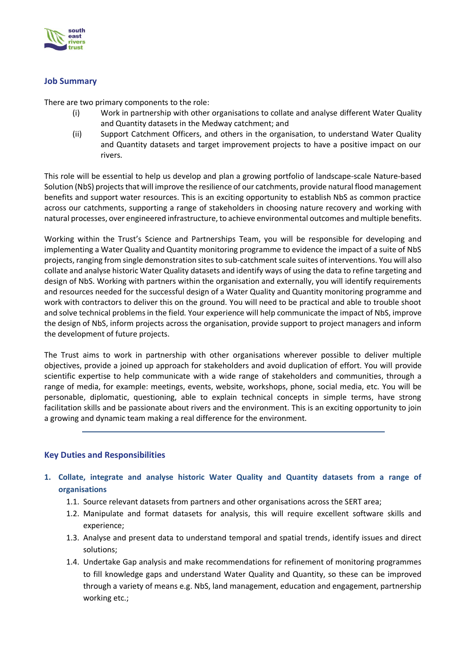

#### **Job Summary**

There are two primary components to the role:

- (i) Work in partnership with other organisations to collate and analyse different Water Quality and Quantity datasets in the Medway catchment; and
- (ii) Support Catchment Officers, and others in the organisation, to understand Water Quality and Quantity datasets and target improvement projects to have a positive impact on our rivers.

This role will be essential to help us develop and plan a growing portfolio of landscape-scale Nature-based Solution (NbS) projects that will improve the resilience of our catchments, provide natural flood management benefits and support water resources. This is an exciting opportunity to establish NbS as common practice across our catchments, supporting a range of stakeholders in choosing nature recovery and working with natural processes, over engineered infrastructure, to achieve environmental outcomes and multiple benefits.

Working within the Trust's Science and Partnerships Team, you will be responsible for developing and implementing a Water Quality and Quantity monitoring programme to evidence the impact of a suite of NbS projects, ranging from single demonstration sites to sub-catchment scale suites of interventions. You will also collate and analyse historic Water Quality datasets and identify ways of using the data to refine targeting and design of NbS. Working with partners within the organisation and externally, you will identify requirements and resources needed for the successful design of a Water Quality and Quantity monitoring programme and work with contractors to deliver this on the ground. You will need to be practical and able to trouble shoot and solve technical problems in the field. Your experience will help communicate the impact of NbS, improve the design of NbS, inform projects across the organisation, provide support to project managers and inform the development of future projects.

The Trust aims to work in partnership with other organisations wherever possible to deliver multiple objectives, provide a joined up approach for stakeholders and avoid duplication of effort. You will provide scientific expertise to help communicate with a wide range of stakeholders and communities, through a range of media, for example: meetings, events, website, workshops, phone, social media, etc. You will be personable, diplomatic, questioning, able to explain technical concepts in simple terms, have strong facilitation skills and be passionate about rivers and the environment. This is an exciting opportunity to join a growing and dynamic team making a real difference for the environment.

## **Key Duties and Responsibilities**

- **1. Collate, integrate and analyse historic Water Quality and Quantity datasets from a range of organisations** 
	- 1.1. Source relevant datasets from partners and other organisations across the SERT area;
	- 1.2. Manipulate and format datasets for analysis, this will require excellent software skills and experience;
	- 1.3. Analyse and present data to understand temporal and spatial trends, identify issues and direct solutions;
	- 1.4. Undertake Gap analysis and make recommendations for refinement of monitoring programmes to fill knowledge gaps and understand Water Quality and Quantity, so these can be improved through a variety of means e.g. NbS, land management, education and engagement, partnership working etc.;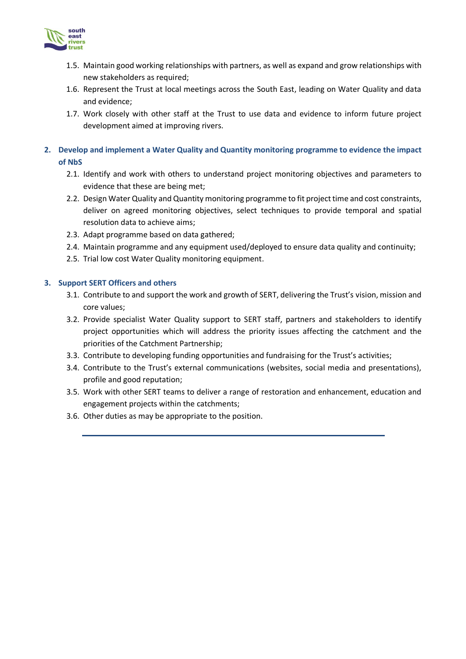

- 1.5. Maintain good working relationships with partners, as well as expand and grow relationships with new stakeholders as required;
- 1.6. Represent the Trust at local meetings across the South East, leading on Water Quality and data and evidence;
- 1.7. Work closely with other staff at the Trust to use data and evidence to inform future project development aimed at improving rivers.

#### **2. Develop and implement a Water Quality and Quantity monitoring programme to evidence the impact of NbS**

- 2.1. Identify and work with others to understand project monitoring objectives and parameters to evidence that these are being met;
- 2.2. Design Water Quality and Quantity monitoring programme to fit project time and cost constraints, deliver on agreed monitoring objectives, select techniques to provide temporal and spatial resolution data to achieve aims;
- 2.3. Adapt programme based on data gathered;
- 2.4. Maintain programme and any equipment used/deployed to ensure data quality and continuity;
- 2.5. Trial low cost Water Quality monitoring equipment.

#### **3. Support SERT Officers and others**

- 3.1. Contribute to and support the work and growth of SERT, delivering the Trust's vision, mission and core values;
- 3.2. Provide specialist Water Quality support to SERT staff, partners and stakeholders to identify project opportunities which will address the priority issues affecting the catchment and the priorities of the Catchment Partnership;
- 3.3. Contribute to developing funding opportunities and fundraising for the Trust's activities;
- 3.4. Contribute to the Trust's external communications (websites, social media and presentations), profile and good reputation;
- 3.5. Work with other SERT teams to deliver a range of restoration and enhancement, education and engagement projects within the catchments;
- 3.6. Other duties as may be appropriate to the position.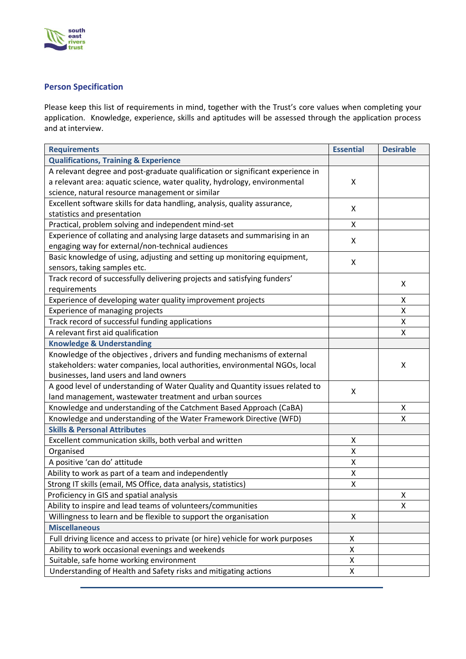

# **Person Specification**

Please keep this list of requirements in mind, together with the Trust's core values when completing your application. Knowledge, experience, skills and aptitudes will be assessed through the application process and at interview.

| <b>Requirements</b>                                                            | <b>Essential</b> | <b>Desirable</b> |
|--------------------------------------------------------------------------------|------------------|------------------|
| <b>Qualifications, Training &amp; Experience</b>                               |                  |                  |
| A relevant degree and post-graduate qualification or significant experience in |                  |                  |
| a relevant area: aquatic science, water quality, hydrology, environmental      | X                |                  |
| science, natural resource management or similar                                |                  |                  |
| Excellent software skills for data handling, analysis, quality assurance,      | X                |                  |
| statistics and presentation                                                    |                  |                  |
| Practical, problem solving and independent mind-set                            | Χ                |                  |
| Experience of collating and analysing large datasets and summarising in an     | X                |                  |
| engaging way for external/non-technical audiences                              |                  |                  |
| Basic knowledge of using, adjusting and setting up monitoring equipment,       | X                |                  |
| sensors, taking samples etc.                                                   |                  |                  |
| Track record of successfully delivering projects and satisfying funders'       |                  | X                |
| requirements                                                                   |                  |                  |
| Experience of developing water quality improvement projects                    |                  | Χ                |
| Experience of managing projects                                                |                  | Χ                |
| Track record of successful funding applications                                |                  | Χ                |
| A relevant first aid qualification                                             |                  | Χ                |
| <b>Knowledge &amp; Understanding</b>                                           |                  |                  |
| Knowledge of the objectives, drivers and funding mechanisms of external        |                  |                  |
| stakeholders: water companies, local authorities, environmental NGOs, local    |                  | X                |
| businesses, land users and land owners                                         |                  |                  |
| A good level of understanding of Water Quality and Quantity issues related to  | X                |                  |
| land management, wastewater treatment and urban sources                        |                  |                  |
| Knowledge and understanding of the Catchment Based Approach (CaBA)             |                  | X                |
| Knowledge and understanding of the Water Framework Directive (WFD)             |                  | Χ                |
| <b>Skills &amp; Personal Attributes</b>                                        |                  |                  |
| Excellent communication skills, both verbal and written                        | Χ                |                  |
| Organised                                                                      | Χ                |                  |
| A positive 'can do' attitude                                                   | Χ                |                  |
| Ability to work as part of a team and independently                            | Χ                |                  |
| Strong IT skills (email, MS Office, data analysis, statistics)                 | Χ                |                  |
| Proficiency in GIS and spatial analysis                                        |                  | X                |
| Ability to inspire and lead teams of volunteers/communities                    |                  | X                |
| Willingness to learn and be flexible to support the organisation               | Χ                |                  |
| <b>Miscellaneous</b>                                                           |                  |                  |
| Full driving licence and access to private (or hire) vehicle for work purposes | X                |                  |
| Ability to work occasional evenings and weekends                               | Χ                |                  |
| Suitable, safe home working environment                                        | X                |                  |
| Understanding of Health and Safety risks and mitigating actions                | X                |                  |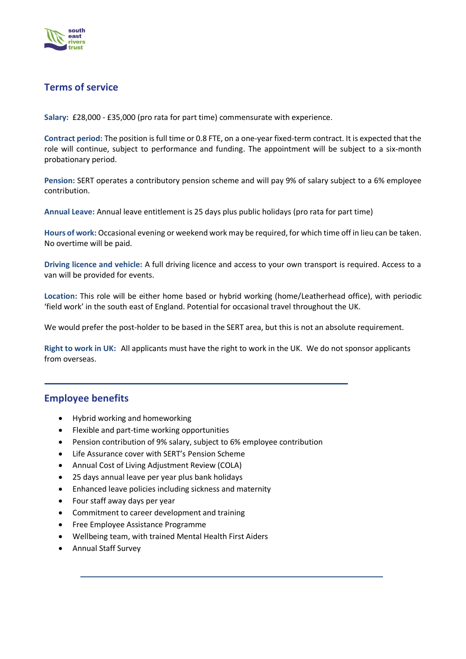

# **Terms of service**

**Salary:** £28,000 - £35,000 (pro rata for part time) commensurate with experience.

**Contract period:** The position is full time or 0.8 FTE, on a one-year fixed-term contract. It is expected that the role will continue, subject to performance and funding. The appointment will be subject to a six-month probationary period.

**Pension:** SERT operates a contributory pension scheme and will pay 9% of salary subject to a 6% employee contribution.

**Annual Leave:** Annual leave entitlement is 25 days plus public holidays (pro rata for part time)

**Hours of work:** Occasional evening or weekend work may be required, for which time off in lieu can be taken. No overtime will be paid.

**Driving licence and vehicle:** A full driving licence and access to your own transport is required. Access to a van will be provided for events.

**Location:** This role will be either home based or hybrid working (home/Leatherhead office), with periodic 'field work' in the south east of England. Potential for occasional travel throughout the UK.

We would prefer the post-holder to be based in the SERT area, but this is not an absolute requirement.

**Right to work in UK:** All applicants must have the right to work in the UK. We do not sponsor applicants from overseas.

## **Employee benefits**

- Hybrid working and homeworking
- Flexible and part-time working opportunities
- Pension contribution of 9% salary, subject to 6% employee contribution
- Life Assurance cover with SERT's Pension Scheme
- Annual Cost of Living Adjustment Review (COLA)
- 25 days annual leave per year plus bank holidays
- Enhanced leave policies including sickness and maternity
- Four staff away days per year
- Commitment to career development and training
- Free Employee Assistance Programme
- Wellbeing team, with trained Mental Health First Aiders
- Annual Staff Survey